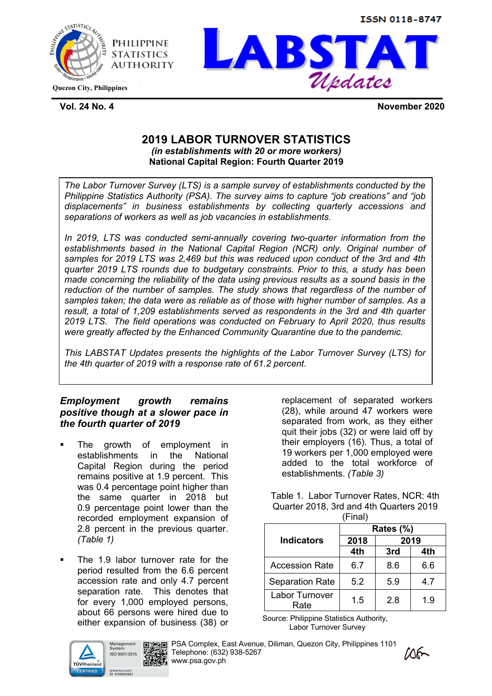





**Vol. 24 No. 4 November 2020**

## **2019 LABOR TURNOVER STATISTICS**  *(in establishments with 20 or more workers)* **National Capital Region: Fourth Quarter 2019**

*The Labor Turnover Survey (LTS) is a sample survey of establishments conducted by the Philippine Statistics Authority (PSA). The survey aims to capture "job creations" and "job displacements" in business establishments by collecting quarterly accessions and separations of workers as well as job vacancies in establishments.* 

*In 2019, LTS was conducted semi-annually covering two-quarter information from the establishments based in the National Capital Region (NCR) only. Original number of samples for 2019 LTS was 2,469 but this was reduced upon conduct of the 3rd and 4th quarter 2019 LTS rounds due to budgetary constraints. Prior to this, a study has been made concerning the reliability of the data using previous results as a sound basis in the reduction of the number of samples. The study shows that regardless of the number of samples taken; the data were as reliable as of those with higher number of samples. As a result, a total of 1,209 establishments served as respondents in the 3rd and 4th quarter 2019 LTS. The field operations was conducted on February to April 2020, thus results were greatly affected by the Enhanced Community Quarantine due to the pandemic.* 

*This LABSTAT Updates presents the highlights of the Labor Turnover Survey (LTS) for the 4th quarter of 2019 with a response rate of 61.2 percent.*

## *Employment growth remains positive though at a slower pace in the fourth quarter of 2019*

- The growth of employment in establishments in the National Capital Region during the period remains positive at 1.9 percent. This was 0.4 percentage point higher than the same quarter in 2018 but 0.9 percentage point lower than the recorded employment expansion of 2.8 percent in the previous quarter. *(Table 1)*
- The 1.9 labor turnover rate for the period resulted from the 6.6 percent accession rate and only 4.7 percent separation rate. This denotes that for every 1,000 employed persons, about 66 persons were hired due to either expansion of business (38) or

Management ISO 9001:2015 TÜVRheinlar www.tuv.com<br>ID 9108640991



**PSA Complex, East Avenue, Diliman, Quezon City, Philippines 1101** Telephone: (632) 938-5267 ■ 媒星 www.psa.gov.ph



replacement of separated workers (28), while around 47 workers were separated from work, as they either quit their jobs (32) or were laid off by their employers (16). Thus, a total of 19 workers per 1,000 employed were added to the total workforce of establishments. *(Table 3)*

Table 1. Labor Turnover Rates, NCR: 4th Quarter 2018, 3rd and 4th Quarters 2019 (Final)

|                        | Rates (%) |      |     |  |  |  |  |
|------------------------|-----------|------|-----|--|--|--|--|
| <b>Indicators</b>      | 2018      | 2019 |     |  |  |  |  |
|                        | 4th       | 3rd  | 4th |  |  |  |  |
| <b>Accession Rate</b>  | 6.7       | 8.6  | 6.6 |  |  |  |  |
| <b>Separation Rate</b> | 5.2       | 5.9  | 4.7 |  |  |  |  |
| Labor Turnover<br>Rate | 1.5       | 2.8  | 1.9 |  |  |  |  |

Source: Philippine Statistics Authority, Labor Turnover Survey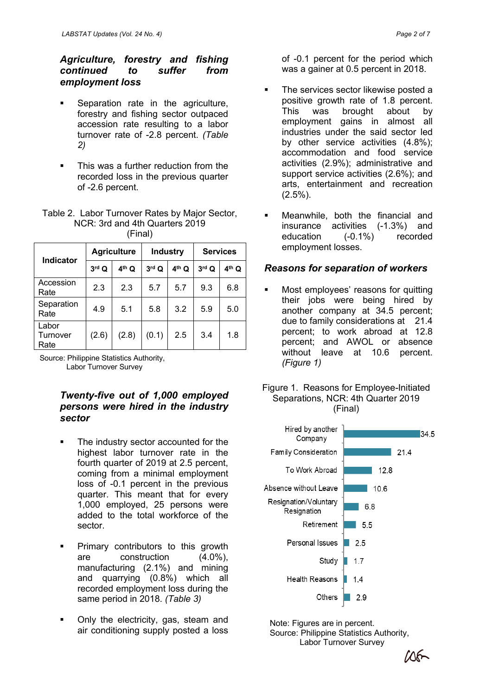## *Agriculture, forestry and fishing continued to suffer from employment loss*

- Separation rate in the agriculture, forestry and fishing sector outpaced accession rate resulting to a labor turnover rate of -2.8 percent. *(Table 2)*
- This was a further reduction from the recorded loss in the previous quarter of -2.6 percent.

#### Table 2. Labor Turnover Rates by Major Sector, NCR: 3rd and 4th Quarters 2019 (Final)

| <b>Indicator</b>          |         | <b>Agriculture</b> | <b>Industry</b> |                   | <b>Services</b> |         |  |  |
|---------------------------|---------|--------------------|-----------------|-------------------|-----------------|---------|--|--|
|                           | $3rd$ Q | $4^{\text{th}}$ Q  | $3rd$ $Q$       | 4 <sup>th</sup> Q | $3rd$ Q         | $4th$ Q |  |  |
| Accession<br>Rate         | 2.3     | 2.3                | 5.7             | 5.7               | 9.3             | 6.8     |  |  |
| Separation<br>Rate        | 4.9     | 5.1                | 5.8             | 3.2               | 5.9             | 5.0     |  |  |
| Labor<br>Turnover<br>Rate | (2.6)   | (2.8)              | (0.1)           | 2.5               | 3.4             | 1.8     |  |  |

Source: Philippine Statistics Authority,<br>
Lober Turnover Sunroy Labor Turnover Survey

#### *Twenty-five out of 1,000 employed persons were hired in the industry sector*

- The industry sector accounted for the highest labor turnover rate in the fourth quarter of 2019 at 2.5 percent, coming from a minimal employment loss of -0.1 percent in the previous quarter. This meant that for every 1,000 employed, 25 persons were added to the total workforce of the sector.
- **•** Primary contributors to this growth are construction (4.0%), manufacturing (2.1%) and mining and quarrying (0.8%) which all recorded employment loss during the same period in 2018. *(Table 3)*
- § Only the electricity, gas, steam and air conditioning supply posted a loss

of -0.1 percent for the period which was a gainer at 0.5 percent in 2018.

- The services sector likewise posted a positive growth rate of 1.8 percent. This was brought about by employment gains in almost all industries under the said sector led by other service activities (4.8%); accommodation and food service activities (2.9%); administrative and support service activities (2.6%); and arts, entertainment and recreation (2.5%).
- § Meanwhile, both the financial and insurance activities (-1.3%) and education (-0.1%) recorded employment losses.

### *Reasons for separation of workers*

- § Most employees' reasons for quitting their jobs were being hired by another company at 34.5 percent; due to family considerations at 21.4 percent; to work abroad at 12.8 percent; and AWOL or absence without leave at 10.6 percent.
- Figure 1. Reasons for Employee-Initiated Separations, NCR: 4th Quarter 2019 (Final)



Note: Figures are in percent. Source: Philippine Statistics Authority, Labor Turnover Survey

 $M_{\rm{min}}$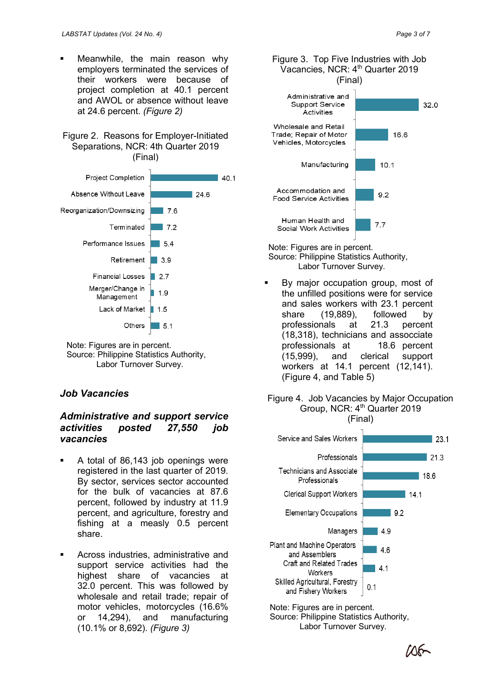Meanwhile, the main reason why employers terminated the services of their workers were because of project completion at 40.1 percent and AWOL or absence without leave at 24.6 percent. *(Figure 2)*

#### Figure 2. Reasons for Employer-Initiated Separations, NCR: 4th Quarter 2019 (Final)



Note: Figures are in percent. Source: Philippine Statistics Authority, Labor Turnover Survey.

### *Job Vacancies*

#### *Administrative and support service activities posted 27,550 job vacancies*

- § A total of 86,143 job openings were registered in the last quarter of 2019. By sector, services sector accounted for the bulk of vacancies at 87.6 percent, followed by industry at 11.9 percent, and agriculture, forestry and fishing at a measly 0.5 percent share.
- § Across industries, administrative and support service activities had the highest share of vacancies at 32.0 percent. This was followed by wholesale and retail trade; repair of motor vehicles, motorcycles (16.6% or 14,294), and manufacturing (10.1% or 8,692). *(Figure 3)*



Figure 3. Top Five Industries with Job

Note: Figures are in percent. Source: Philippine Statistics Authority, Labor Turnover Survey.

By major occupation group, most of the unfilled positions were for service and sales workers with 23.1 percent share (19,889), followed by professionals at 21.3 percent (18,318), technicians and assocciate professionals at 18.6 percent (15,999), and clerical support workers at 14.1 percent (12,141). (Figure 4, and Table 5)

#### Figure 4. Job Vacancies by Major Occupation Group, NCR: 4<sup>th</sup> Quarter 2019 (Final)



Note: Figures are in percent. Source: Philippine Statistics Authority, Labor Turnover Survey.

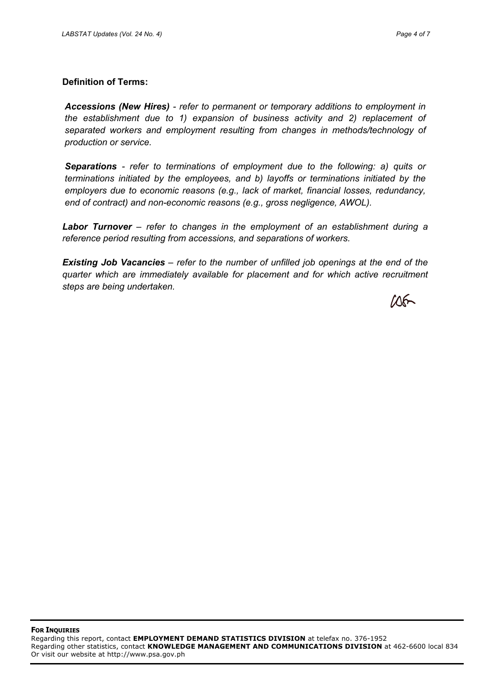#### **Definition of Terms:**

*Accessions (New Hires) - refer to permanent or temporary additions to employment in the establishment due to 1) expansion of business activity and 2) replacement of separated workers and employment resulting from changes in methods/technology of production or service.*

*Separations - refer to terminations of employment due to the following: a) quits or terminations initiated by the employees, and b) layoffs or terminations initiated by the employers due to economic reasons (e.g., lack of market, financial losses, redundancy, end of contract) and non-economic reasons (e.g., gross negligence, AWOL).*

*Labor Turnover – refer to changes in the employment of an establishment during a reference period resulting from accessions, and separations of workers.*

*Existing Job Vacancies – refer to the number of unfilled job openings at the end of the quarter which are immediately available for placement and for which active recruitment steps are being undertaken.*

 $106-$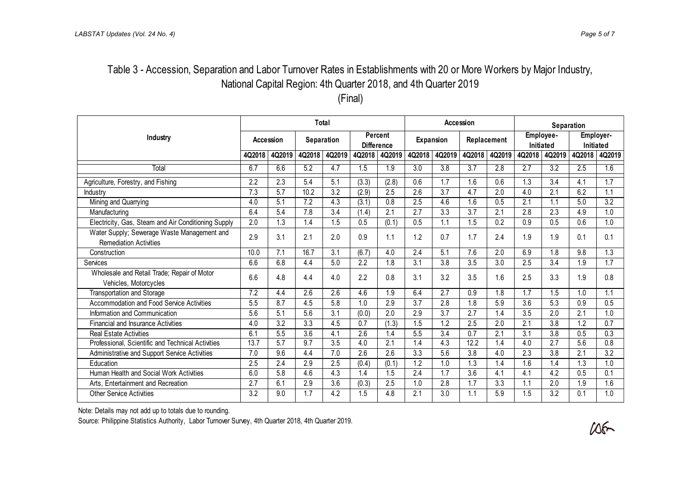# Table 3 - Accession, Separation and Labor Turnover Rates in Establishments with 20 or More Workers by Major Industry, National Capital Region: 4th Quarter 2018, and 4th Quarter 2019

(Final)

|                                                                              | Total            |        |        |                   |        | Accession                    |                  |                  |                  | Separation  |        |                        |                  |                        |  |
|------------------------------------------------------------------------------|------------------|--------|--------|-------------------|--------|------------------------------|------------------|------------------|------------------|-------------|--------|------------------------|------------------|------------------------|--|
| Industry                                                                     | <b>Accession</b> |        |        | <b>Separation</b> |        | Percent<br><b>Difference</b> |                  | <b>Expansion</b> |                  | Replacement |        | Employee-<br>Initiated |                  | Employer-<br>Initiated |  |
|                                                                              | 4Q2018           | 4Q2019 | 4Q2018 | 4Q2019            | 4Q2018 | 4Q2019                       | 4Q2018           | 4Q2019           | 4Q2018           | 4Q2019      | 4Q2018 | 4Q2019                 | 4Q2018           | 4Q2019                 |  |
| Total                                                                        | 6.7              | 6.6    | 5.2    | 4.7               | 1.5    | 1.9                          | 3.0              | $\overline{3.8}$ | $\overline{3.7}$ | 2.8         | 2.7    | 3.2                    | 2.5              | 1.6                    |  |
| Agriculture, Forestry, and Fishing                                           | 2.2              | 2.3    | 5.4    | 5.1               | (3.3)  | (2.8)                        | 0.6              | 1.7              | 1.6              | 0.6         | 1.3    | 3.4                    | 4.1              | 1.7                    |  |
| Industry                                                                     | 7.3              | 5.7    | 10.2   | 3.2               | (2.9)  | 2.5                          | 2.6              | 3.7              | 4.7              | 2.0         | 4.0    | 2.1                    | 6.2              | 1.1                    |  |
| Mining and Quarrying                                                         | 4.0              | 5.1    | 7.2    | 4.3               | (3.1)  | 0.8                          | 2.5              | 4.6              | 1.6              | 0.5         | 2.1    | 1.1                    | 5.0              | 3.2                    |  |
| Manufacturing                                                                | 6.4              | 5.4    | 7.8    | 3.4               | (1.4)  | 2.1                          | 2.7              | 3.3              | 3.7              | 2.1         | 2.8    | 2.3                    | 4.9              | 1.0                    |  |
| Electricity, Gas, Steam and Air Conditioning Supply                          | 2.0              | 1.3    | 1.4    | 1.5               | 0.5    | (0.1)                        | 0.5              | 1.1              | 1.5              | 0.2         | 0.9    | 0.5                    | 0.6              | 1.0                    |  |
| Water Supply; Sewerage Waste Management and<br><b>Remediation Activities</b> | 2.9              | 3.1    | 2.1    | 2.0               | 0.9    | 1.1                          | 1.2              | 0.7              | 1.7              | 2.4         | 1.9    | 1.9                    | 0.1              | 0.1                    |  |
| Construction                                                                 | 10.0             | 7.1    | 16.7   | 3.1               | (6.7)  | 4.0                          | 2.4              | 5.1              | 7.6              | 2.0         | 6.9    | 1.8                    | 9.8              | 1.3                    |  |
| Services                                                                     | 6.6              | 6.8    | 4.4    | 5.0               | 2.2    | 1.8                          | 3.1              | 3.8              | 3.5              | 3.0         | 2.5    | 3.4                    | 1.9              | 1.7                    |  |
| Wholesale and Retail Trade; Repair of Motor<br>Vehicles, Motorcycles         | 6.6              | 4.8    | 4.4    | 4.0               | 2.2    | 0.8                          | 3.1              | 3.2              | 3.5              | 1.6         | 2.5    | 3.3                    | 1.9              | 0.8                    |  |
| <b>Transportation and Storage</b>                                            | 7.2              | 4.4    | 2.6    | 2.6               | 4.6    | 1.9                          | 6.4              | 2.7              | 0.9              | 1.8         | 1.7    | 1.5                    | 1.0              | 1.1                    |  |
| Accommodation and Food Service Activities                                    | 5.5              | 8.7    | 4.5    | 5.8               | 1.0    | 2.9                          | 3.7              | 2.8              | 1.8              | 5.9         | 3.6    | 5.3                    | 0.9              | 0.5                    |  |
| Information and Communication                                                | 5.6              | 5.1    | 5.6    | 3.1               | (0.0)  | 2.0                          | 2.9              | 3.7              | 2.7              | 1.4         | 3.5    | 2.0                    | 2.1              | 1.0                    |  |
| <b>Financial and Insurance Activities</b>                                    | 4.0              | 3.2    | 3.3    | 4.5               | 0.7    | (1.3)                        | 1.5              | 1.2              | 2.5              | 2.0         | 2.1    | 3.8                    | 1.2              | 0.7                    |  |
| <b>Real Estate Activities</b>                                                | 6.1              | 5.5    | 3.6    | 4.1               | 2.6    | 1.4                          | 5.5              | 3.4              | 0.7              | 2.1         | 3.1    | 3.8                    | 0.5              | 0.3                    |  |
| Professional, Scientific and Technical Activities                            | 13.7             | 5.7    | 9.7    | 3.5               | 4.0    | 2.1                          | 1.4              | 4.3              | 12.2             | 1.4         | 4.0    | 2.7                    | 5.6              | 0.8                    |  |
| Administrative and Support Service Activities                                | 7.0              | 9.6    | 4.4    | 7.0               | 2.6    | 2.6                          | $\overline{3.3}$ | 5.6              | $\overline{3.8}$ | 4.0         | 2.3    | 3.8                    | $\overline{2.1}$ | $\overline{3.2}$       |  |
| Education                                                                    | 2.5              | 2.4    | 2.9    | 2.5               | (0.4)  | (0.1)                        | 1.2              | 1.0              | 1.3              | 1.4         | 1.6    | 1.4                    | 1.3              | 1.0                    |  |
| Human Health and Social Work Activities                                      | 6.0              | 5.8    | 4.6    | 4.3               | 1.4    | 1.5                          | 2.4              | 1.7              | 3.6              | 4.1         | 4.1    | 4.2                    | 0.5              | 0.1                    |  |
| Arts, Entertainment and Recreation                                           | 2.7              | 6.1    | 2.9    | 3.6               | (0.3)  | 2.5                          | 1.0              | 2.8              | 1.7              | 3.3         | 1.1    | 2.0                    | 1.9              | 1.6                    |  |
| <b>Other Service Activities</b>                                              | 3.2              | 9.0    | 1.7    | 4.2               | 1.5    | 4.8                          | 2.1              | 3.0              | 1.1              | 5.9         | 1.5    | 3.2                    | 0.1              | 1.0                    |  |

Note: Details may not add up to totals due to rounding.

Source: Philippine Statistics Authority, Labor Turnover Survey, 4th Quarter 2018, 4th Quarter 2019.

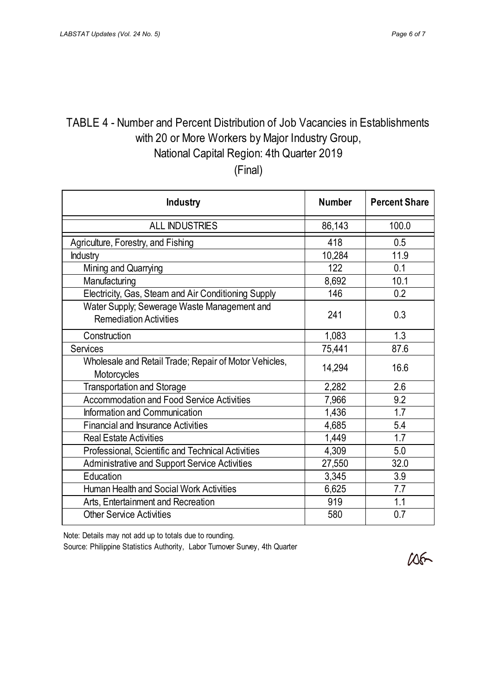# TABLE 4 - Number and Percent Distribution of Job Vacancies in Establishments with 20 or More Workers by Major Industry Group, National Capital Region: 4th Quarter 2019

(Final)

| <b>Industry</b>                                                              | <b>Number</b> | <b>Percent Share</b> |
|------------------------------------------------------------------------------|---------------|----------------------|
| <b>ALL INDUSTRIES</b>                                                        | 86,143        | 100.0                |
| Agriculture, Forestry, and Fishing                                           | 418           | 0.5                  |
| <b>Industry</b>                                                              | 10,284        | 11.9                 |
| Mining and Quarrying                                                         | 122           | 0.1                  |
| Manufacturing                                                                | 8,692         | 10.1                 |
| Electricity, Gas, Steam and Air Conditioning Supply                          | 146           | 0.2                  |
| Water Supply; Sewerage Waste Management and<br><b>Remediation Activities</b> | 241           | 0.3                  |
| Construction                                                                 | 1,083         | 1.3                  |
| <b>Services</b>                                                              | 75,441        | 87.6                 |
| Wholesale and Retail Trade; Repair of Motor Vehicles,<br>Motorcycles         | 14,294        | 16.6                 |
| <b>Transportation and Storage</b>                                            | 2,282         | 2.6                  |
| <b>Accommodation and Food Service Activities</b>                             | 7,966         | 9.2                  |
| Information and Communication                                                | 1,436         | 1.7                  |
| <b>Financial and Insurance Activities</b>                                    | 4,685         | 5.4                  |
| <b>Real Estate Activities</b>                                                | 1,449         | 1.7                  |
| Professional, Scientific and Technical Activities                            | 4,309         | 5.0                  |
| <b>Administrative and Support Service Activities</b>                         | 27,550        | 32.0                 |
| Education                                                                    | 3,345         | 3.9                  |
| Human Health and Social Work Activities                                      | 6,625         | 7.7                  |
| Arts, Entertainment and Recreation                                           | 919           | 1.1                  |
| <b>Other Service Activities</b>                                              | 580           | 0.7                  |

Note: Details may not add up to totals due to rounding.

Source: Philippine Statistics Authority, Labor Turnover Survey, 4th Quarter